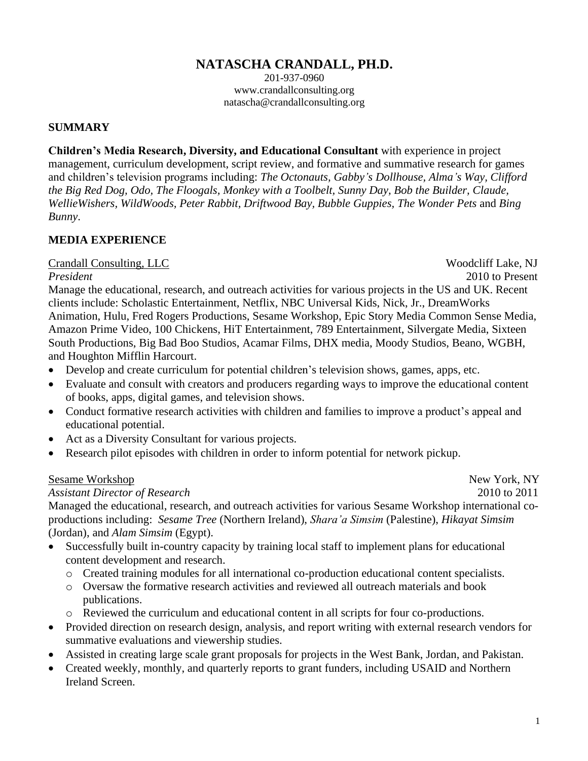### **NATASCHA CRANDALL, PH.D.**

201-937-0960 www.crandallconsulting.org natascha@crandallconsulting.org

#### **SUMMARY**

**Children's Media Research, Diversity, and Educational Consultant** with experience in project management, curriculum development, script review, and formative and summative research for games and children's television programs including: *The Octonauts, Gabby's Dollhouse, Alma's Way, Clifford the Big Red Dog, Odo, The Floogals, Monkey with a Toolbelt, Sunny Day, Bob the Builder, Claude, WellieWishers, WildWoods, Peter Rabbit, Driftwood Bay, Bubble Guppies, The Wonder Pets* and *Bing Bunny*.

#### **MEDIA EXPERIENCE**

Crandall Consulting, LLC Woodcliff Lake, NJ

*President* 2010 to Present

Manage the educational, research, and outreach activities for various projects in the US and UK. Recent clients include: Scholastic Entertainment, Netflix, NBC Universal Kids, Nick, Jr., DreamWorks Animation, Hulu, Fred Rogers Productions, Sesame Workshop, Epic Story Media Common Sense Media, Amazon Prime Video, 100 Chickens, HiT Entertainment, 789 Entertainment, Silvergate Media, Sixteen South Productions, Big Bad Boo Studios, Acamar Films, DHX media, Moody Studios, Beano, WGBH, and Houghton Mifflin Harcourt.

- Develop and create curriculum for potential children's television shows, games, apps, etc.
- Evaluate and consult with creators and producers regarding ways to improve the educational content of books, apps, digital games, and television shows.
- Conduct formative research activities with children and families to improve a product's appeal and educational potential.
- Act as a Diversity Consultant for various projects.
- Research pilot episodes with children in order to inform potential for network pickup.

#### Sesame Workshop New York, NY

#### *Assistant Director of Research* 2010 to 2011

Managed the educational, research, and outreach activities for various Sesame Workshop international coproductions including: *Sesame Tree* (Northern Ireland), *Shara'a Simsim* (Palestine), *Hikayat Simsim* (Jordan), and *Alam Simsim* (Egypt).

- Successfully built in-country capacity by training local staff to implement plans for educational content development and research.
	- o Created training modules for all international co-production educational content specialists.
	- o Oversaw the formative research activities and reviewed all outreach materials and book publications.
	- o Reviewed the curriculum and educational content in all scripts for four co-productions.
- Provided direction on research design, analysis, and report writing with external research vendors for summative evaluations and viewership studies.
- Assisted in creating large scale grant proposals for projects in the West Bank, Jordan, and Pakistan.
- Created weekly, monthly, and quarterly reports to grant funders, including USAID and Northern Ireland Screen.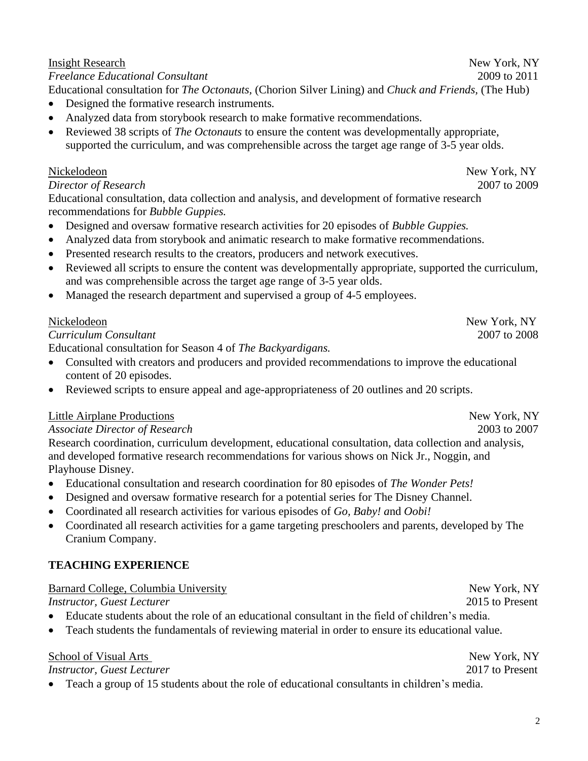#### Insight Research New York, NY

*Freelance Educational Consultant* 2009 to 2011 Educational consultation for *The Octonauts,* (Chorion Silver Lining) and *Chuck and Friends,* (The Hub)

- Designed the formative research instruments*.*
- Analyzed data from storybook research to make formative recommendations*.*
- Reviewed 38 scripts of *The Octonauts* to ensure the content was developmentally appropriate, supported the curriculum, and was comprehensible across the target age range of 3-5 year olds.

## Nickelodeon New York, NY

#### *Director of Research* 2007 to 2009

Educational consultation, data collection and analysis, and development of formative research recommendations for *Bubble Guppies.*

- Designed and oversaw formative research activities for 20 episodes of *Bubble Guppies.*
- Analyzed data from storybook and animatic research to make formative recommendations.
- Presented research results to the creators, producers and network executives.
- Reviewed all scripts to ensure the content was developmentally appropriate, supported the curriculum, and was comprehensible across the target age range of 3-5 year olds.
- Managed the research department and supervised a group of 4-5 employees.

### *Curriculum Consultant* 2007 to 2008

Educational consultation for Season 4 of *The Backyardigans.*

- Consulted with creators and producers and provided recommendations to improve the educational content of 20 episodes.
- Reviewed scripts to ensure appeal and age-appropriateness of 20 outlines and 20 scripts.

## Little Airplane Productions New York, NY

*Associate Director of Research* 2003 to 2007

Research coordination, curriculum development, educational consultation, data collection and analysis, and developed formative research recommendations for various shows on Nick Jr., Noggin, and Playhouse Disney.

- Educational consultation and research coordination for 80 episodes of *The Wonder Pets!*
- Designed and oversaw formative research for a potential series for The Disney Channel.
- Coordinated all research activities for various episodes of *Go, Baby! a*nd *Oobi!*
- Coordinated all research activities for a game targeting preschoolers and parents, developed by The Cranium Company.

# **TEACHING EXPERIENCE**

# Barnard College, Columbia University New York, NY

*Instructor, Guest Lecturer* 2015 to Present

- Educate students about the role of an educational consultant in the field of children's media.
- Teach students the fundamentals of reviewing material in order to ensure its educational value.

School of Visual Arts New York, NY

## *Instructor, Guest Lecturer* 2017 to Present

• Teach a group of 15 students about the role of educational consultants in children's media.

Nickelodeon New York, NY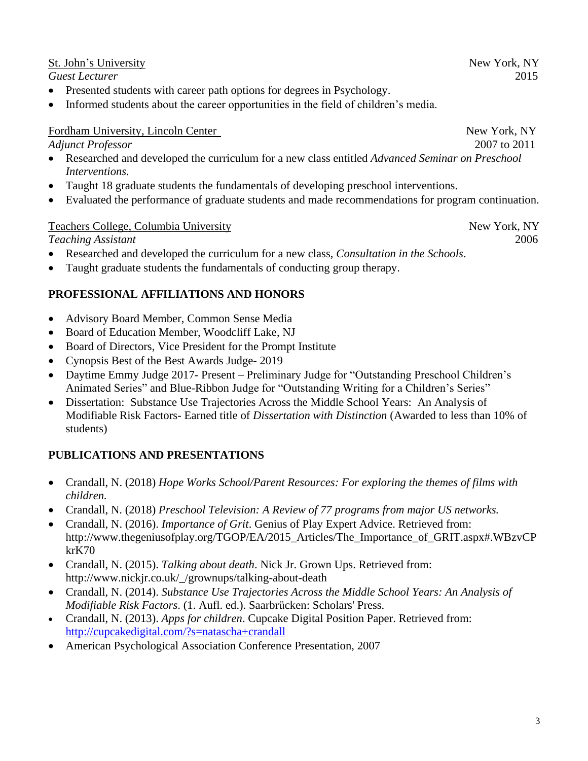3

## St. John's University New York, NY

*Guest Lecturer* 2015

- Presented students with career path options for degrees in Psychology.
- Informed students about the career opportunities in the field of children's media.

### Fordham University, Lincoln Center New York, NY

*Adjunct Professor* 2007 to 2011

- Researched and developed the curriculum for a new class entitled *Advanced Seminar on Preschool Interventions.*
- Taught 18 graduate students the fundamentals of developing preschool interventions.
- Evaluated the performance of graduate students and made recommendations for program continuation.

#### Teachers College, Columbia University New York, NY

*Teaching Assistant* 2006

- Researched and developed the curriculum for a new class, *Consultation in the Schools*.
- Taught graduate students the fundamentals of conducting group therapy.

## **PROFESSIONAL AFFILIATIONS AND HONORS**

- Advisory Board Member, Common Sense Media
- Board of Education Member, Woodcliff Lake, NJ
- Board of Directors, Vice President for the Prompt Institute
- Cynopsis Best of the Best Awards Judge- 2019
- Daytime Emmy Judge 2017- Present Preliminary Judge for "Outstanding Preschool Children's Animated Series" and Blue-Ribbon Judge for "Outstanding Writing for a Children's Series"
- Dissertation: Substance Use Trajectories Across the Middle School Years: An Analysis of Modifiable Risk Factors- Earned title of *Dissertation with Distinction* (Awarded to less than 10% of students)

## **PUBLICATIONS AND PRESENTATIONS**

- Crandall, N. (2018) *Hope Works School/Parent Resources: For exploring the themes of films with children.*
- Crandall, N. (2018) *Preschool Television: A Review of 77 programs from major US networks.*
- Crandall, N. (2016). *Importance of Grit*. Genius of Play Expert Advice. Retrieved from: http://www.thegeniusofplay.org/TGOP/EA/2015\_Articles/The\_Importance\_of\_GRIT.aspx#.WBzvCP krK70
- Crandall, N. (2015). *Talking about death*. Nick Jr. Grown Ups. Retrieved from: http://www.nickjr.co.uk/\_/grownups/talking-about-death
- Crandall, N. (2014). *Substance Use Trajectories Across the Middle School Years: An Analysis of Modifiable Risk Factors*. (1. Aufl. ed.). Saarbrücken: Scholars' Press.
- Crandall, N. (2013). *Apps for children*. Cupcake Digital Position Paper. Retrieved from: <http://cupcakedigital.com/?s=natascha+crandall>
- American Psychological Association Conference Presentation, 2007